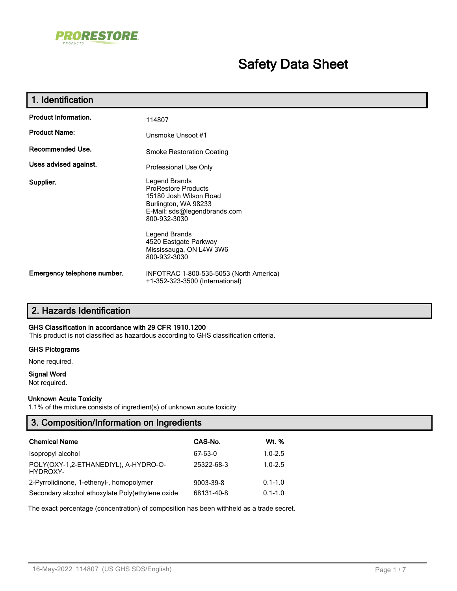

# **Safety Data Sheet**

| 1. Identification           |                                                                                                                                                                                                                                    |
|-----------------------------|------------------------------------------------------------------------------------------------------------------------------------------------------------------------------------------------------------------------------------|
| <b>Product Information.</b> | 114807                                                                                                                                                                                                                             |
| <b>Product Name:</b>        | Unsmoke Unsoot #1                                                                                                                                                                                                                  |
| Recommended Use.            | <b>Smoke Restoration Coating</b>                                                                                                                                                                                                   |
| Uses advised against.       | Professional Use Only                                                                                                                                                                                                              |
| Supplier.                   | Legend Brands<br><b>ProRestore Products</b><br>15180 Josh Wilson Road<br>Burlington, WA 98233<br>E-Mail: sds@legendbrands.com<br>800-932-3030<br>Legend Brands<br>4520 Eastgate Parkway<br>Mississauga, ON L4W 3W6<br>800-932-3030 |
| Emergency telephone number. | INFOTRAC 1-800-535-5053 (North America)<br>+1-352-323-3500 (International)                                                                                                                                                         |

## **2. Hazards Identification**

### **GHS Classification in accordance with 29 CFR 1910.1200**

This product is not classified as hazardous according to GHS classification criteria.

### **GHS Pictograms**

None required.

### **Signal Word**

Not required.

### **Unknown Acute Toxicity**

1.1% of the mixture consists of ingredient(s) of unknown acute toxicity

| 3. Composition/Information on Ingredients         |            |              |  |
|---------------------------------------------------|------------|--------------|--|
| <b>Chemical Name</b>                              | CAS-No.    | <u>Wt. %</u> |  |
| Isopropyl alcohol                                 | 67-63-0    | $1.0 - 2.5$  |  |
| POLY(OXY-1,2-ETHANEDIYL), A-HYDRO-O-<br>HYDROXY-  | 25322-68-3 | $1.0 - 2.5$  |  |
| 2-Pyrrolidinone, 1-ethenyl-, homopolymer          | 9003-39-8  | $0.1 - 1.0$  |  |
| Secondary alcohol ethoxylate Poly (ethylene oxide | 68131-40-8 | $0.1 - 1.0$  |  |

The exact percentage (concentration) of composition has been withheld as a trade secret.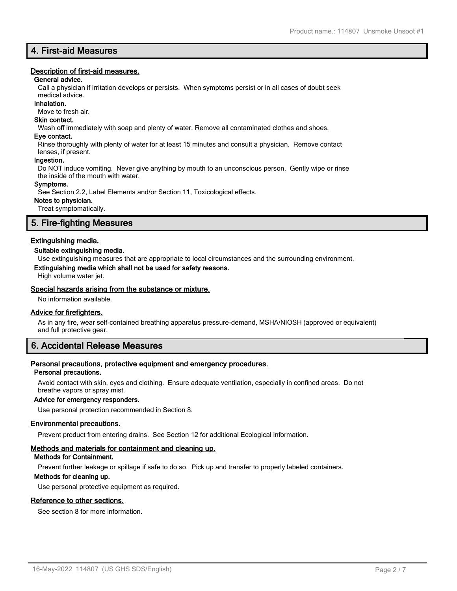## **4. First-aid Measures**

### **Description of first-aid measures.**

### **General advice.**

Call a physician if irritation develops or persists. When symptoms persist or in all cases of doubt seek

#### medical advice. **Inhalation.**

Move to fresh air.

## **Skin contact.**

Wash off immediately with soap and plenty of water. Remove all contaminated clothes and shoes.

### **Eye contact.**

Rinse thoroughly with plenty of water for at least 15 minutes and consult a physician. Remove contact lenses, if present.

### **Ingestion.**

Do NOT induce vomiting. Never give anything by mouth to an unconscious person. Gently wipe or rinse the inside of the mouth with water.

### **Symptoms.**

See Section 2.2, Label Elements and/or Section 11, Toxicological effects.

### **Notes to physician.**

Treat symptomatically.

## **5. Fire-fighting Measures**

### **Extinguishing media.**

### **Suitable extinguishing media.**

Use extinguishing measures that are appropriate to local circumstances and the surrounding environment.

### **Extinguishing media which shall not be used for safety reasons.**

High volume water jet.

### **Special hazards arising from the substance or mixture.**

No information available.

### **Advice for firefighters.**

As in any fire, wear self-contained breathing apparatus pressure-demand, MSHA/NIOSH (approved or equivalent) and full protective gear.

## **6. Accidental Release Measures**

### **Personal precautions, protective equipment and emergency procedures.**

### **Personal precautions.**

Avoid contact with skin, eyes and clothing. Ensure adequate ventilation, especially in confined areas. Do not breathe vapors or spray mist.

### **Advice for emergency responders.**

Use personal protection recommended in Section 8.

### **Environmental precautions.**

Prevent product from entering drains. See Section 12 for additional Ecological information.

### **Methods and materials for containment and cleaning up.**

### **Methods for Containment.**

Prevent further leakage or spillage if safe to do so. Pick up and transfer to properly labeled containers.

#### **Methods for cleaning up.**

Use personal protective equipment as required.

### **Reference to other sections.**

See section 8 for more information.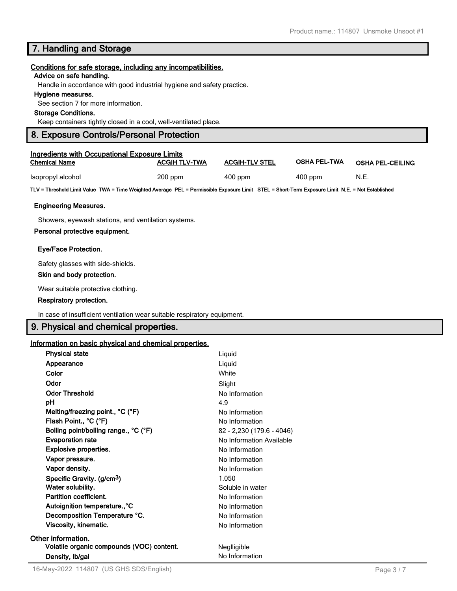## **7. Handling and Storage**

### **Conditions for safe storage, including any incompatibilities.**

### **Advice on safe handling.**

Handle in accordance with good industrial hygiene and safety practice.

### **Hygiene measures.**

See section 7 for more information.

### **Storage Conditions.**

Keep containers tightly closed in a cool, well-ventilated place.

### **8. Exposure Controls/Personal Protection**

| Ingredients with Occupational Exposure Limits |                      |                       |                     |                         |  |
|-----------------------------------------------|----------------------|-----------------------|---------------------|-------------------------|--|
| <b>Chemical Name</b>                          | <b>ACGIH TLV-TWA</b> | <b>ACGIH-TLV STEL</b> | <b>OSHA PEL-TWA</b> | <b>OSHA PEL-CEILING</b> |  |
| Isopropyl alcohol                             | $200$ ppm            | $400$ ppm             | $400$ ppm           | N.E.                    |  |

**TLV = Threshold Limit Value TWA = Time Weighted Average PEL = Permissible Exposure Limit STEL = Short-Term Exposure Limit N.E. = Not Established**

### **Engineering Measures.**

Showers, eyewash stations, and ventilation systems.

### **Personal protective equipment.**

### **Eye/Face Protection.**

Safety glasses with side-shields.

### **Skin and body protection.**

Wear suitable protective clothing.

### **Respiratory protection.**

In case of insufficient ventilation wear suitable respiratory equipment.

## **9. Physical and chemical properties.**

### **Information on basic physical and chemical properties.**

| <b>Physical state</b>                     | Liquid                    |
|-------------------------------------------|---------------------------|
| Appearance                                | Liguid                    |
| Color                                     | White                     |
| Odor                                      | Slight                    |
| <b>Odor Threshold</b>                     | No Information            |
| рH                                        | 4.9                       |
| Melting/freezing point., °C (°F)          | No Information            |
| Flash Point., °C (°F)                     | No Information            |
| Boiling point/boiling range., °C (°F)     | 82 - 2,230 (179.6 - 4046) |
| <b>Evaporation rate</b>                   | No Information Available  |
| <b>Explosive properties.</b>              | No Information            |
| Vapor pressure.                           | No Information            |
| Vapor density.                            | No Information            |
| Specific Gravity. (g/cm <sup>3</sup> )    | 1.050                     |
| Water solubility.                         | Soluble in water          |
| Partition coefficient.                    | No Information            |
| Autoignition temperature., °C             | No Information            |
| Decomposition Temperature °C.             | No Information            |
| Viscosity, kinematic.                     | No Information            |
| Other information.                        |                           |
| Volatile organic compounds (VOC) content. | Neglligible               |
| Density, Ib/gal                           | No Information            |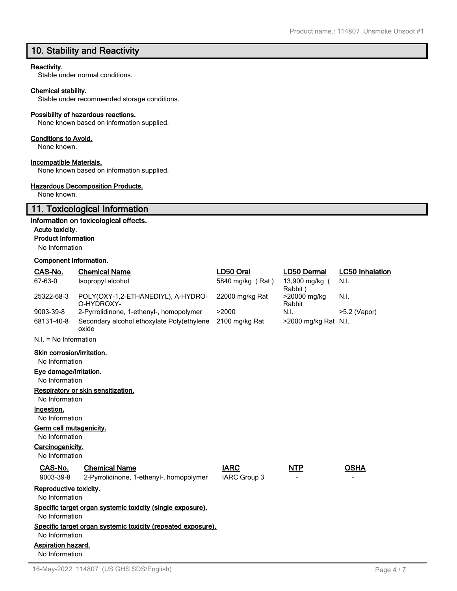## **10. Stability and Reactivity**

### **Reactivity.**

Stable under normal conditions.

### **Chemical stability.**

Stable under recommended storage conditions.

### **Possibility of hazardous reactions.**

None known based on information supplied.

### **Conditions to Avoid.**

None known.

## **Incompatible Materials.**

None known based on information supplied.

### **Hazardous Decomposition Products.**

None known.

## **11. Toxicological Information**

### **Information on toxicological effects.**

### **Acute toxicity.**

**Product Information**

No Information

### **Component Information.**

| CAS-No.                                      | <b>Chemical Name</b>                                         | LD50 Oral           | LD50 Dermal               | <b>LC50 Inhalation</b> |
|----------------------------------------------|--------------------------------------------------------------|---------------------|---------------------------|------------------------|
| 67-63-0<br>Isopropyl alcohol                 |                                                              | 5840 mg/kg (Rat)    | 13,900 mg/kg (<br>Rabbit) | N.I.                   |
| 25322-68-3                                   | POLY(OXY-1,2-ETHANEDIYL), A-HYDRO-<br>O-HYDROXY-             | 22000 mg/kg Rat     | >20000 mg/kg<br>Rabbit    | N.I.                   |
| 9003-39-8                                    | 2-Pyrrolidinone, 1-ethenyl-, homopolymer                     | >2000               | N.I.                      | $>5.2$ (Vapor)         |
| 68131-40-8                                   | Secondary alcohol ethoxylate Poly(ethylene<br>oxide          | 2100 mg/kg Rat      | >2000 mg/kg Rat N.I.      |                        |
| $N.I. = No Information$                      |                                                              |                     |                           |                        |
| Skin corrosion/irritation.<br>No Information |                                                              |                     |                           |                        |
| Eye damage/irritation.<br>No Information     |                                                              |                     |                           |                        |
|                                              | Respiratory or skin sensitization.                           |                     |                           |                        |
| No Information                               |                                                              |                     |                           |                        |
| Ingestion.                                   |                                                              |                     |                           |                        |
| No Information                               |                                                              |                     |                           |                        |
| Germ cell mutagenicity.                      |                                                              |                     |                           |                        |
| No Information                               |                                                              |                     |                           |                        |
| Carcinogenicity.                             |                                                              |                     |                           |                        |
| No Information                               |                                                              |                     |                           |                        |
| CAS-No.                                      | <b>Chemical Name</b>                                         | <b>IARC</b>         | <b>NTP</b>                | <b>OSHA</b>            |
| 9003-39-8                                    | 2-Pyrrolidinone, 1-ethenyl-, homopolymer                     | <b>IARC Group 3</b> |                           |                        |
| Reproductive toxicity.                       |                                                              |                     |                           |                        |
| No Information                               |                                                              |                     |                           |                        |
|                                              | Specific target organ systemic toxicity (single exposure).   |                     |                           |                        |
| No Information                               |                                                              |                     |                           |                        |
|                                              | Specific target organ systemic toxicity (repeated exposure). |                     |                           |                        |
| No Information                               |                                                              |                     |                           |                        |
| <b>Aspiration hazard.</b>                    |                                                              |                     |                           |                        |
| No Information                               |                                                              |                     |                           |                        |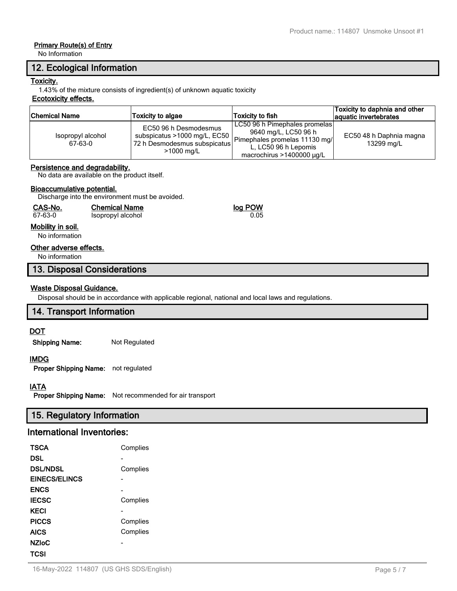## **Primary Route(s) of Entry**

No Information

## **12. Ecological Information**

### **Toxicity.**

1.43% of the mixture consists of ingredient(s) of unknown aquatic toxicity

### **Ecotoxicity effects.**

| <b>Chemical Name</b>         | <b>Toxicity to algae</b>                                                                                            | <b>Toxicity to fish</b>                                                                                                                          | Toxicity to daphnia and other<br>aquatic invertebrates |
|------------------------------|---------------------------------------------------------------------------------------------------------------------|--------------------------------------------------------------------------------------------------------------------------------------------------|--------------------------------------------------------|
| Isopropyl alcohol<br>67-63-0 | EC50 96 h Desmodesmus<br>subspicatus $>1000$ mg/L, EC50  <br>72 h Desmodesmus subspicatus<br>$>1000 \; \text{mg/L}$ | LC50 96 h Pimephales promelas<br>9640 mg/L, LC50 96 h<br>Pimephales promelas 11130 mg/<br>L. LC50 96 h Lepomis<br>macrochirus $>1400000 \mu q/L$ | EC50 48 h Daphnia magna<br>13299 mg/L                  |

### **Persistence and degradability.**

No data are available on the product itself.

### **Bioaccumulative potential.**

Discharge into the environment must be avoided.

| CAS-No.         | <b>Chemical Name</b> | log POW |  |  |
|-----------------|----------------------|---------|--|--|
| 67-63-0         | Isopropyl alcohol    | 0.05    |  |  |
| الممرمز بطالطمة |                      |         |  |  |

### **Mobility in soil.**

No information

### **Other adverse effects.**

No information

## **13. Disposal Considerations**

## **Waste Disposal Guidance.**

Disposal should be in accordance with applicable regional, national and local laws and regulations.

## **14. Transport Information**

## **DOT**

**Shipping Name:** Not Regulated

### **IMDG**

**Proper Shipping Name:** not regulated

### **IATA**

**Proper Shipping Name:** Not recommended for air transport

## **15. Regulatory Information**

## **International Inventories:**

| <b>TSCA</b>     | Complies |
|-----------------|----------|
| <b>DSL</b>      |          |
| <b>DSL/NDSL</b> | Complies |
| EINECS/ELINCS   |          |
| <b>ENCS</b>     |          |
| <b>IECSC</b>    | Complies |
| <b>KECI</b>     |          |
| <b>PICCS</b>    | Complies |
| <b>AICS</b>     | Complies |
| <b>NZIoC</b>    |          |
| TCSI            |          |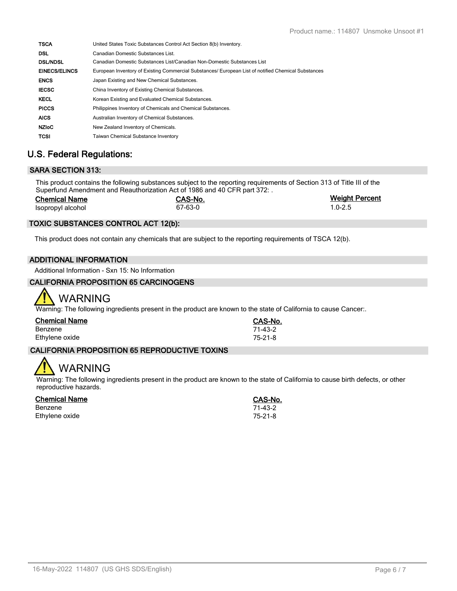| <b>TSCA</b>          | United States Toxic Substances Control Act Section 8(b) Inventory.                                  |
|----------------------|-----------------------------------------------------------------------------------------------------|
| <b>DSL</b>           | Canadian Domestic Substances List.                                                                  |
| <b>DSL/NDSL</b>      | Canadian Domestic Substances List/Canadian Non-Domestic Substances List                             |
| <b>EINECS/ELINCS</b> | European Inventory of Existing Commercial Substances/ European List of notified Chemical Substances |
| <b>ENCS</b>          | Japan Existing and New Chemical Substances.                                                         |
| <b>IECSC</b>         | China Inventory of Existing Chemical Substances.                                                    |
| <b>KECL</b>          | Korean Existing and Evaluated Chemical Substances.                                                  |
| <b>PICCS</b>         | Philippines Inventory of Chemicals and Chemical Substances.                                         |
| <b>AICS</b>          | Australian Inventory of Chemical Substances.                                                        |
| <b>NZIOC</b>         | New Zealand Inventory of Chemicals.                                                                 |
| <b>TCSI</b>          | <b>Taiwan Chemical Substance Inventory</b>                                                          |

## **U.S. Federal Regulations:**

## **SARA SECTION 313:**

This product contains the following substances subject to the reporting requirements of Section 313 of Title III of the Superfund Amendment and Reauthorization Act of 1986 and 40 CFR part 372: .

| <b>Chemical Name</b> | CAS-No. | <b>Weight Percent</b> |
|----------------------|---------|-----------------------|
| Isopropyl alcohol    | 67-63-0 | $1.0 - 2.5$           |

## **TOXIC SUBSTANCES CONTROL ACT 12(b):**

This product does not contain any chemicals that are subject to the reporting requirements of TSCA 12(b).

### **ADDITIONAL INFORMATION**

Additional Information - Sxn 15: No Information

### **CALIFORNIA PROPOSITION 65 CARCINOGENS**



Warning: The following ingredients present in the product are known to the state of California to cause Cancer:.

| <b>Chemical Name</b> | CAS-No. |
|----------------------|---------|
| Benzene              | 71-43-2 |
| Ethylene oxide       | 75-21-8 |

## **CALIFORNIA PROPOSITION 65 REPRODUCTIVE TOXINS**

# WARNING

Warning: The following ingredients present in the product are known to the state of California to cause birth defects, or other reproductive hazards.

### **Chemical Name CAS-No.**

Benzene 71-43-2 Ethylene oxide 75-21-8